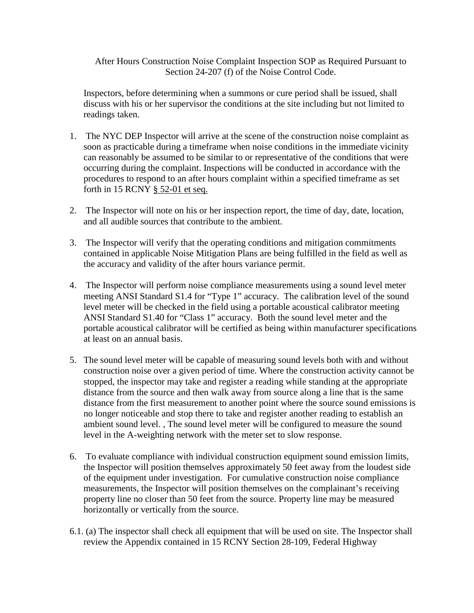After Hours Construction Noise Complaint Inspection SOP as Required Pursuant to Section 24-207 (f) of the Noise Control Code.

Inspectors, before determining when a summons or cure period shall be issued, shall discuss with his or her supervisor the conditions at the site including but not limited to readings taken.

- 1. The NYC DEP Inspector will arrive at the scene of the construction noise complaint as soon as practicable during a timeframe when noise conditions in the immediate vicinity can reasonably be assumed to be similar to or representative of the conditions that were occurring during the complaint. Inspections will be conducted in accordance with the procedures to respond to an after hours complaint within a specified timeframe as set forth in 15 RCNY § 52-01 et seq.
- 2. The Inspector will note on his or her inspection report, the time of day, date, location, and all audible sources that contribute to the ambient.
- 3. The Inspector will verify that the operating conditions and mitigation commitments contained in applicable Noise Mitigation Plans are being fulfilled in the field as well as the accuracy and validity of the after hours variance permit.
- 4. The Inspector will perform noise compliance measurements using a sound level meter meeting ANSI Standard S1.4 for "Type 1" accuracy. The calibration level of the sound level meter will be checked in the field using a portable acoustical calibrator meeting ANSI Standard S1.40 for "Class 1" accuracy. Both the sound level meter and the portable acoustical calibrator will be certified as being within manufacturer specifications at least on an annual basis.
- 5. The sound level meter will be capable of measuring sound levels both with and without construction noise over a given period of time. Where the construction activity cannot be stopped, the inspector may take and register a reading while standing at the appropriate distance from the source and then walk away from source along a line that is the same distance from the first measurement to another point where the source sound emissions is no longer noticeable and stop there to take and register another reading to establish an ambient sound level. , The sound level meter will be configured to measure the sound level in the A-weighting network with the meter set to slow response.
- 6. To evaluate compliance with individual construction equipment sound emission limits, the Inspector will position themselves approximately 50 feet away from the loudest side of the equipment under investigation. For cumulative construction noise compliance measurements, the Inspector will position themselves on the complainant's receiving property line no closer than 50 feet from the source. Property line may be measured horizontally or vertically from the source.
- 6.1. (a) The inspector shall check all equipment that will be used on site. The Inspector shall review the Appendix contained in 15 RCNY Section 28-109, Federal Highway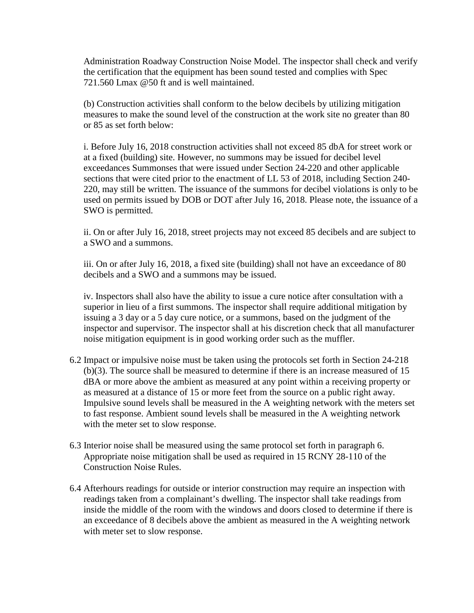Administration Roadway Construction Noise Model. The inspector shall check and verify the certification that the equipment has been sound tested and complies with Spec 721.560 Lmax @50 ft and is well maintained.

(b) Construction activities shall conform to the below decibels by utilizing mitigation measures to make the sound level of the construction at the work site no greater than 80 or 85 as set forth below:

i. Before July 16, 2018 construction activities shall not exceed 85 dbA for street work or at a fixed (building) site. However, no summons may be issued for decibel level exceedances Summonses that were issued under Section 24-220 and other applicable sections that were cited prior to the enactment of LL 53 of 2018, including Section 240- 220, may still be written. The issuance of the summons for decibel violations is only to be used on permits issued by DOB or DOT after July 16, 2018. Please note, the issuance of a SWO is permitted.

ii. On or after July 16, 2018, street projects may not exceed 85 decibels and are subject to a SWO and a summons.

iii. On or after July 16, 2018, a fixed site (building) shall not have an exceedance of 80 decibels and a SWO and a summons may be issued.

iv. Inspectors shall also have the ability to issue a cure notice after consultation with a superior in lieu of a first summons. The inspector shall require additional mitigation by issuing a 3 day or a 5 day cure notice, or a summons, based on the judgment of the inspector and supervisor. The inspector shall at his discretion check that all manufacturer noise mitigation equipment is in good working order such as the muffler.

- 6.2 Impact or impulsive noise must be taken using the protocols set forth in Section 24-218 (b)(3). The source shall be measured to determine if there is an increase measured of 15 dBA or more above the ambient as measured at any point within a receiving property or as measured at a distance of 15 or more feet from the source on a public right away. Impulsive sound levels shall be measured in the A weighting network with the meters set to fast response. Ambient sound levels shall be measured in the A weighting network with the meter set to slow response.
- 6.3 Interior noise shall be measured using the same protocol set forth in paragraph 6. Appropriate noise mitigation shall be used as required in 15 RCNY 28-110 of the Construction Noise Rules.
- 6.4 Afterhours readings for outside or interior construction may require an inspection with readings taken from a complainant's dwelling. The inspector shall take readings from inside the middle of the room with the windows and doors closed to determine if there is an exceedance of 8 decibels above the ambient as measured in the A weighting network with meter set to slow response.